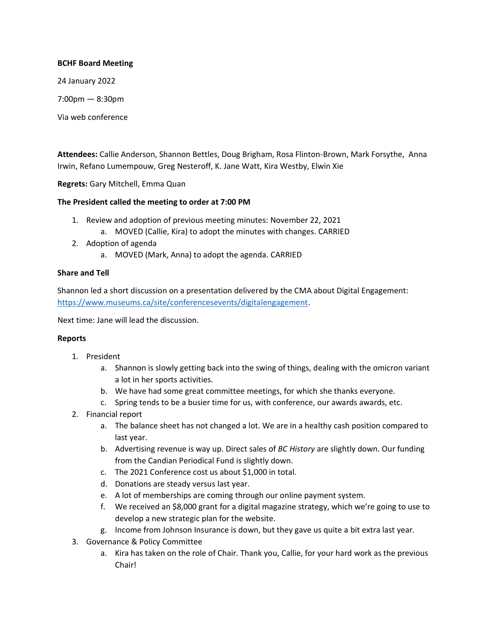### **BCHF Board Meeting**

24 January 2022

7:00pm — 8:30pm

Via web conference

**Attendees:** Callie Anderson, Shannon Bettles, Doug Brigham, Rosa Flinton-Brown, Mark Forsythe, Anna Irwin, Refano Lumempouw, Greg Nesteroff, K. Jane Watt, Kira Westby, Elwin Xie

**Regrets:** Gary Mitchell, Emma Quan

# **The President called the meeting to order at 7:00 PM**

- 1. Review and adoption of previous meeting minutes: November 22, 2021
	- a. MOVED (Callie, Kira) to adopt the minutes with changes. CARRIED
- 2. Adoption of agenda
	- a. MOVED (Mark, Anna) to adopt the agenda. CARRIED

# **Share and Tell**

Shannon led a short discussion on a presentation delivered by the CMA about Digital Engagement: [https://www.museums.ca/site/conferencesevents/digitalengagement.](https://www.museums.ca/site/conferencesevents/digitalengagement)

Next time: Jane will lead the discussion.

### **Reports**

- 1. President
	- a. Shannon is slowly getting back into the swing of things, dealing with the omicron variant a lot in her sports activities.
	- b. We have had some great committee meetings, for which she thanks everyone.
	- c. Spring tends to be a busier time for us, with conference, our awards awards, etc.
- 2. Financial report
	- a. The balance sheet has not changed a lot. We are in a healthy cash position compared to last year.
	- b. Advertising revenue is way up. Direct sales of *BC History* are slightly down. Our funding from the Candian Periodical Fund is slightly down.
	- c. The 2021 Conference cost us about \$1,000 in total.
	- d. Donations are steady versus last year.
	- e. A lot of memberships are coming through our online payment system.
	- f. We received an \$8,000 grant for a digital magazine strategy, which we're going to use to develop a new strategic plan for the website.
	- g. Income from Johnson Insurance is down, but they gave us quite a bit extra last year.
- 3. Governance & Policy Committee
	- a. Kira has taken on the role of Chair. Thank you, Callie, for your hard work as the previous Chair!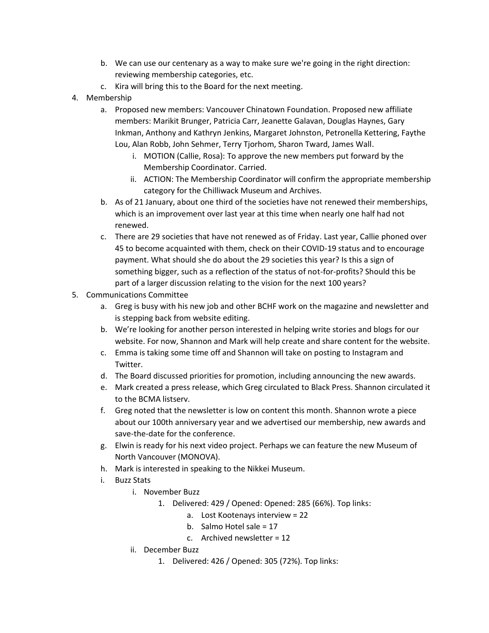- b. We can use our centenary as a way to make sure we're going in the right direction: reviewing membership categories, etc.
- c. Kira will bring this to the Board for the next meeting.
- 4. Membership
	- a. Proposed new members: Vancouver Chinatown Foundation. Proposed new affiliate members: Marikit Brunger, Patricia Carr, Jeanette Galavan, Douglas Haynes, Gary Inkman, Anthony and Kathryn Jenkins, Margaret Johnston, Petronella Kettering, Faythe Lou, Alan Robb, John Sehmer, Terry Tjorhom, Sharon Tward, James Wall.
		- i. MOTION (Callie, Rosa): To approve the new members put forward by the Membership Coordinator. Carried.
		- ii. ACTION: The Membership Coordinator will confirm the appropriate membership category for the Chilliwack Museum and Archives.
	- b. As of 21 January, about one third of the societies have not renewed their memberships, which is an improvement over last year at this time when nearly one half had not renewed.
	- c. There are 29 societies that have not renewed as of Friday. Last year, Callie phoned over 45 to become acquainted with them, check on their COVID-19 status and to encourage payment. What should she do about the 29 societies this year? Is this a sign of something bigger, such as a reflection of the status of not-for-profits? Should this be part of a larger discussion relating to the vision for the next 100 years?
- 5. Communications Committee
	- a. Greg is busy with his new job and other BCHF work on the magazine and newsletter and is stepping back from website editing.
	- b. We're looking for another person interested in helping write stories and blogs for our website. For now, Shannon and Mark will help create and share content for the website.
	- c. Emma is taking some time off and Shannon will take on posting to Instagram and Twitter.
	- d. The Board discussed priorities for promotion, including announcing the new awards.
	- e. Mark created a press release, which Greg circulated to Black Press. Shannon circulated it to the BCMA listserv.
	- f. Greg noted that the newsletter is low on content this month. Shannon wrote a piece about our 100th anniversary year and we advertised our membership, new awards and save-the-date for the conference.
	- g. Elwin is ready for his next video project. Perhaps we can feature the new Museum of North Vancouver (MONOVA).
	- h. Mark is interested in speaking to the Nikkei Museum.
	- i. Buzz Stats
		- i. November Buzz
			- 1. Delivered: 429 / Opened: Opened: 285 (66%). Top links:
				- a. Lost Kootenays interview = 22
				- b. Salmo Hotel sale = 17
				- c. Archived newsletter = 12
		- ii. December Buzz
			- 1. Delivered: 426 / Opened: 305 (72%). Top links: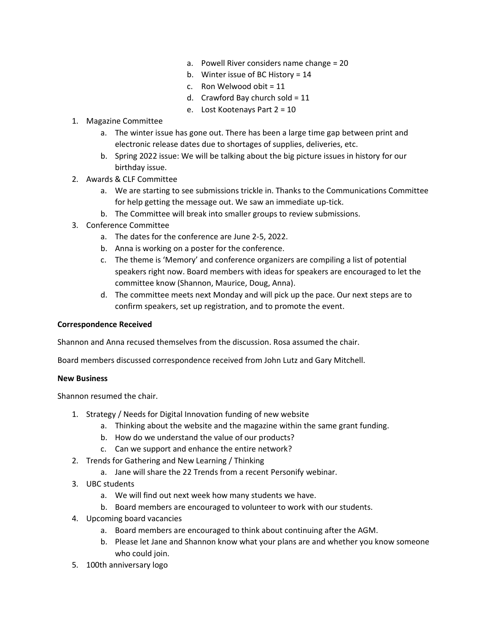- a. Powell River considers name change = 20
- b. Winter issue of BC History = 14
- c. Ron Welwood obit  $= 11$
- d. Crawford Bay church sold =  $11$
- e. Lost Kootenays Part 2 = 10
- 1. Magazine Committee
	- a. The winter issue has gone out. There has been a large time gap between print and electronic release dates due to shortages of supplies, deliveries, etc.
	- b. Spring 2022 issue: We will be talking about the big picture issues in history for our birthday issue.
- 2. Awards & CLF Committee
	- a. We are starting to see submissions trickle in. Thanks to the Communications Committee for help getting the message out. We saw an immediate up-tick.
	- b. The Committee will break into smaller groups to review submissions.
- 3. Conference Committee
	- a. The dates for the conference are June 2-5, 2022.
	- b. Anna is working on a poster for the conference.
	- c. The theme is 'Memory' and conference organizers are compiling a list of potential speakers right now. Board members with ideas for speakers are encouraged to let the committee know (Shannon, Maurice, Doug, Anna).
	- d. The committee meets next Monday and will pick up the pace. Our next steps are to confirm speakers, set up registration, and to promote the event.

### **Correspondence Received**

Shannon and Anna recused themselves from the discussion. Rosa assumed the chair.

Board members discussed correspondence received from John Lutz and Gary Mitchell.

#### **New Business**

Shannon resumed the chair.

- 1. Strategy / Needs for Digital Innovation funding of new website
	- a. Thinking about the website and the magazine within the same grant funding.
	- b. How do we understand the value of our products?
	- c. Can we support and enhance the entire network?
- 2. Trends for Gathering and New Learning / Thinking
	- a. Jane will share the 22 Trends from a recent Personify webinar.
- 3. UBC students
	- a. We will find out next week how many students we have.
	- b. Board members are encouraged to volunteer to work with our students.
- 4. Upcoming board vacancies
	- a. Board members are encouraged to think about continuing after the AGM.
	- b. Please let Jane and Shannon know what your plans are and whether you know someone who could join.
- 5. 100th anniversary logo